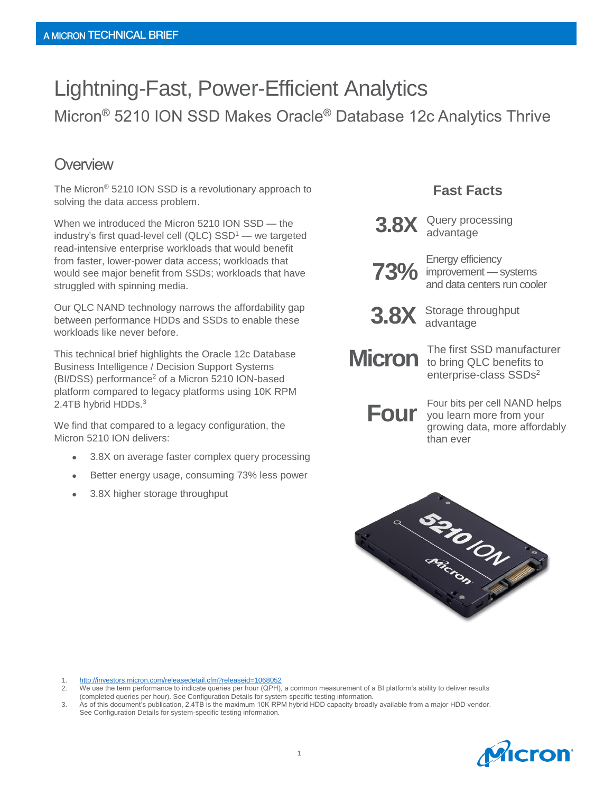# Lightning-Fast, Power-Efficient Analytics Micron® 5210 ION SSD Makes Oracle® Database 12c Analytics Thrive

#### **Overview**

The Micron® 5210 ION SSD is a revolutionary approach to solving the data access problem.

When we introduced the Micron 5210 ION SSD — the industry's first quad-level cell (QLC)  $SSD<sup>1</sup>$  — we targeted read-intensive enterprise workloads that would benefit from faster, lower-power data access; workloads that would see major benefit from SSDs; workloads that have struggled with spinning media.

Our QLC NAND technology narrows the affordability gap between performance HDDs and SSDs to enable these workloads like never before.

This technical brief highlights the Oracle 12c Database Business Intelligence / Decision Support Systems (BI/DSS) performance<sup>2</sup> of a Micron 5210 ION-based platform compared to legacy platforms using 10K RPM 2.4TB hybrid HDDs.<sup>3</sup>

We find that compared to a legacy configuration, the Micron 5210 ION delivers:

- 3.8X on average faster complex query processing
- Better energy usage, consuming 73% less power
- 3.8X higher storage throughput

#### **Fast Facts**



**3.8X** Query processing advantage



**73%** improvement — systems Energy efficiency and data centers run cooler



**3.8X** Storage throughput advantage

The first SSD manufacturer **Micron** to bring QLC benefits to enterprise-class SSDs<sup>2</sup>

**Four** bits per cell NAND helps<br>
you learn more from your<br> *would a more offersibly* growing data, more affordably than ever



<sup>3.</sup> As of this document's publication, 2.4TB is the maximum 10K RPM hybrid HDD capacity broadly available from a major HDD vendor. See Configuration Details for system-specific testing information.



<sup>1.</sup> <http://investors.micron.com/releasedetail.cfm?releaseid=1068052><br>2. We use the term performance to indicate queries per hour (QPH)

<sup>2.</sup> We use the term performance to indicate queries per hour (QPH), a common measurement of a BI platform's ability to deliver results (completed queries per hour). See Configuration Details for system-specific testing information.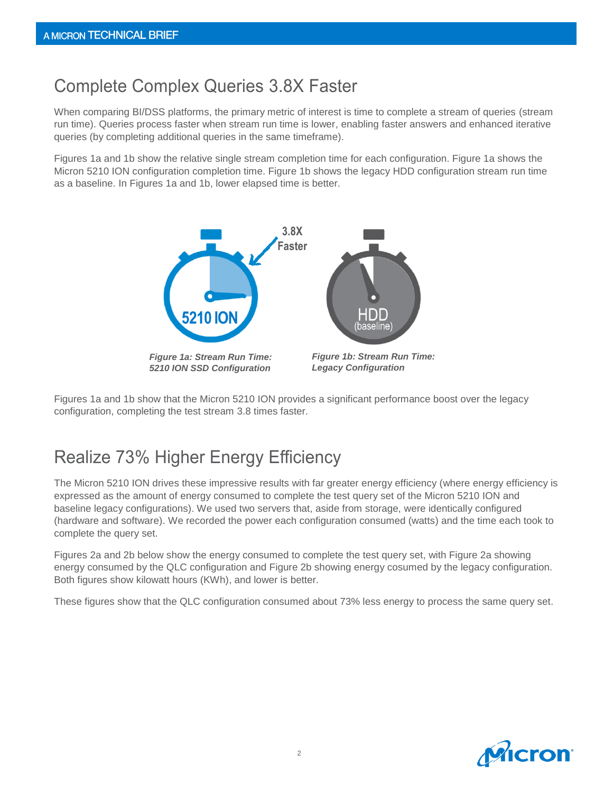## Complete Complex Queries 3.8X Faster

When comparing BI/DSS platforms, the primary metric of interest is time to complete a stream of queries (stream run time). Queries process faster when stream run time is lower, enabling faster answers and enhanced iterative queries (by completing additional queries in the same timeframe).

Figures 1a and 1b show the relative single stream completion time for each configuration. Figure 1a shows the Micron 5210 ION configuration completion time. Figure 1b shows the legacy HDD configuration stream run time as a baseline. In Figures 1a and 1b, lower elapsed time is better.



Figures 1a and 1b show that the Micron 5210 ION provides a significant performance boost over the legacy configuration, completing the test stream 3.8 times faster.

# Realize 73% Higher Energy Efficiency

The Micron 5210 ION drives these impressive results with far greater energy efficiency (where energy efficiency is expressed as the amount of energy consumed to complete the test query set of the Micron 5210 ION and baseline legacy configurations). We used two servers that, aside from storage, were identically configured (hardware and software). We recorded the power each configuration consumed (watts) and the time each took to complete the query set.

Figures 2a and 2b below show the energy consumed to complete the test query set, with Figure 2a showing energy consumed by the QLC configuration and Figure 2b showing energy cosumed by the legacy configuration. Both figures show kilowatt hours (KWh), and lower is better.

These figures show that the QLC configuration consumed about 73% less energy to process the same query set.

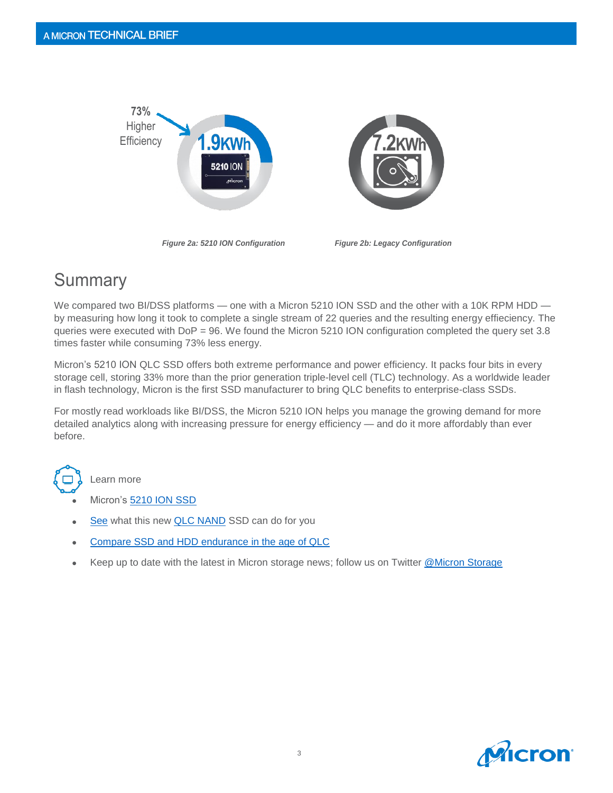

## **Summary**

We compared two BI/DSS platforms — one with a Micron 5210 ION SSD and the other with a 10K RPM HDD by measuring how long it took to complete a single stream of 22 queries and the resulting energy effieciency. The queries were executed with DoP = 96. We found the Micron 5210 ION configuration completed the query set 3.8 times faster while consuming 73% less energy.

Micron's 5210 ION QLC SSD offers both extreme performance and power efficiency. It packs four bits in every storage cell, storing 33% more than the prior generation triple-level cell (TLC) technology. As a worldwide leader in flash technology, Micron is the first SSD manufacturer to bring QLC benefits to enterprise-class SSDs.

For mostly read workloads like BI/DSS, the Micron 5210 ION helps you manage the growing demand for more detailed analytics along with increasing pressure for energy efficiency — and do it more affordably than ever before.



Learn more

- Micron's [5210 ION SSD](https://www.micron.com/products/solid-state-drives/product-lines/5210)
- [See](https://youtu.be/khMyLINgYc0) what this new **QLC NAND** SSD can do for you
- [Compare SSD and HDD endurance in the age of QLC](https://www.micron.com/-/media/client/global/documents/products/white-paper/5210_ssd_vs_hdd_endurance_white_paper.pdf?la=en)
- Keep up to date with the latest in Micron storage news; follow us on Twitter [@Micron Storage](https://twitter.com/MicronStorage)